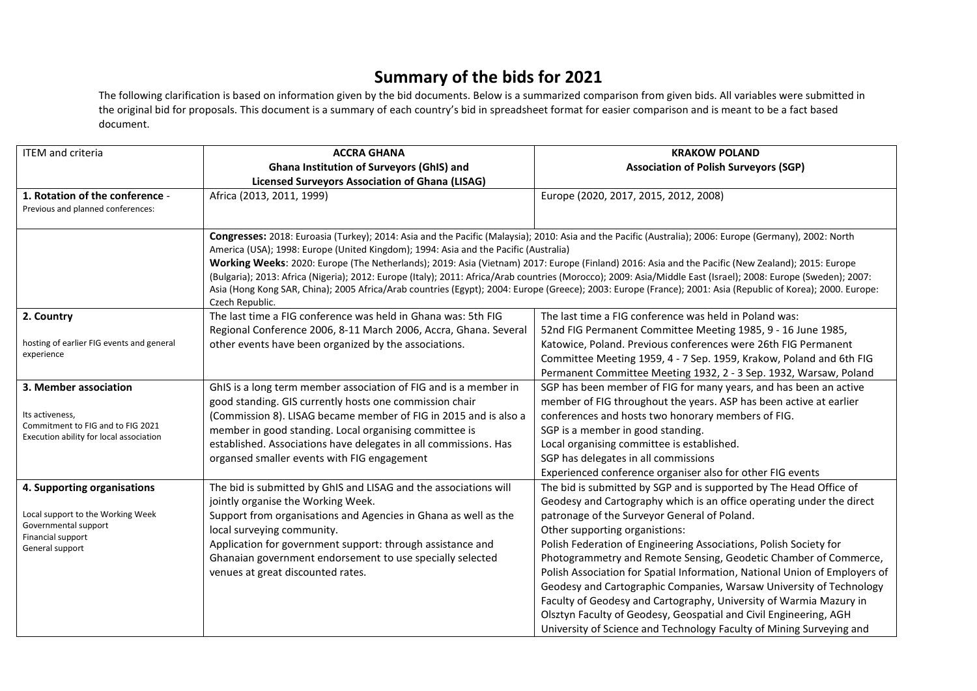## **Summary of the bids for 2021**

The following clarification is based on information given by the bid documents. Below is a summarized comparison from given bids. All variables were submitted in the original bid for proposals. This document is a summary of each country's bid in spreadsheet format for easier comparison and is meant to be a fact based document.

| <b>ITEM</b> and criteria                                                     | <b>ACCRA GHANA</b>                                                                                                                                                              | <b>KRAKOW POLAND</b>                                                                                                                                           |  |
|------------------------------------------------------------------------------|---------------------------------------------------------------------------------------------------------------------------------------------------------------------------------|----------------------------------------------------------------------------------------------------------------------------------------------------------------|--|
|                                                                              | <b>Ghana Institution of Surveyors (GhIS) and</b>                                                                                                                                | <b>Association of Polish Surveyors (SGP)</b>                                                                                                                   |  |
|                                                                              | <b>Licensed Surveyors Association of Ghana (LISAG)</b>                                                                                                                          |                                                                                                                                                                |  |
| 1. Rotation of the conference -                                              | Africa (2013, 2011, 1999)                                                                                                                                                       | Europe (2020, 2017, 2015, 2012, 2008)                                                                                                                          |  |
| Previous and planned conferences:                                            |                                                                                                                                                                                 |                                                                                                                                                                |  |
|                                                                              |                                                                                                                                                                                 |                                                                                                                                                                |  |
|                                                                              | Congresses: 2018: Euroasia (Turkey); 2014: Asia and the Pacific (Malaysia); 2010: Asia and the Pacific (Australia); 2006: Europe (Germany), 2002: North                         |                                                                                                                                                                |  |
|                                                                              | America (USA); 1998: Europe (United Kingdom); 1994: Asia and the Pacific (Australia)                                                                                            |                                                                                                                                                                |  |
|                                                                              | Working Weeks: 2020: Europe (The Netherlands); 2019: Asia (Vietnam) 2017: Europe (Finland) 2016: Asia and the Pacific (New Zealand); 2015: Europe                               |                                                                                                                                                                |  |
|                                                                              |                                                                                                                                                                                 | (Bulgaria); 2013: Africa (Nigeria); 2012: Europe (Italy); 2011: Africa/Arab countries (Morocco); 2009: Asia/Middle East (Israel); 2008: Europe (Sweden); 2007: |  |
|                                                                              | Asia (Hong Kong SAR, China); 2005 Africa/Arab countries (Egypt); 2004: Europe (Greece); 2003: Europe (France); 2001: Asia (Republic of Korea); 2000. Europe:<br>Czech Republic. |                                                                                                                                                                |  |
| 2. Country                                                                   | The last time a FIG conference was held in Ghana was: 5th FIG                                                                                                                   | The last time a FIG conference was held in Poland was:                                                                                                         |  |
|                                                                              | Regional Conference 2006, 8-11 March 2006, Accra, Ghana. Several                                                                                                                | 52nd FIG Permanent Committee Meeting 1985, 9 - 16 June 1985,                                                                                                   |  |
| hosting of earlier FIG events and general                                    | other events have been organized by the associations.                                                                                                                           | Katowice, Poland. Previous conferences were 26th FIG Permanent                                                                                                 |  |
| experience                                                                   |                                                                                                                                                                                 | Committee Meeting 1959, 4 - 7 Sep. 1959, Krakow, Poland and 6th FIG                                                                                            |  |
|                                                                              |                                                                                                                                                                                 | Permanent Committee Meeting 1932, 2 - 3 Sep. 1932, Warsaw, Poland                                                                                              |  |
| 3. Member association                                                        | GhIS is a long term member association of FIG and is a member in                                                                                                                | SGP has been member of FIG for many years, and has been an active                                                                                              |  |
|                                                                              | good standing. GIS currently hosts one commission chair                                                                                                                         | member of FIG throughout the years. ASP has been active at earlier                                                                                             |  |
| Its activeness,                                                              | (Commission 8). LISAG became member of FIG in 2015 and is also a                                                                                                                | conferences and hosts two honorary members of FIG.                                                                                                             |  |
| Commitment to FIG and to FIG 2021<br>Execution ability for local association | member in good standing. Local organising committee is                                                                                                                          | SGP is a member in good standing.                                                                                                                              |  |
|                                                                              | established. Associations have delegates in all commissions. Has                                                                                                                | Local organising committee is established.                                                                                                                     |  |
|                                                                              | organsed smaller events with FIG engagement                                                                                                                                     | SGP has delegates in all commissions                                                                                                                           |  |
|                                                                              |                                                                                                                                                                                 | Experienced conference organiser also for other FIG events                                                                                                     |  |
| 4. Supporting organisations                                                  | The bid is submitted by GhIS and LISAG and the associations will                                                                                                                | The bid is submitted by SGP and is supported by The Head Office of                                                                                             |  |
|                                                                              | jointly organise the Working Week.                                                                                                                                              | Geodesy and Cartography which is an office operating under the direct                                                                                          |  |
| Local support to the Working Week                                            | Support from organisations and Agencies in Ghana as well as the                                                                                                                 | patronage of the Surveyor General of Poland.                                                                                                                   |  |
| Governmental support<br>Financial support                                    | local surveying community.                                                                                                                                                      | Other supporting organistions:                                                                                                                                 |  |
| General support                                                              | Application for government support: through assistance and                                                                                                                      | Polish Federation of Engineering Associations, Polish Society for                                                                                              |  |
|                                                                              | Ghanaian government endorsement to use specially selected                                                                                                                       | Photogrammetry and Remote Sensing, Geodetic Chamber of Commerce,                                                                                               |  |
|                                                                              | venues at great discounted rates.                                                                                                                                               | Polish Association for Spatial Information, National Union of Employers of                                                                                     |  |
|                                                                              |                                                                                                                                                                                 | Geodesy and Cartographic Companies, Warsaw University of Technology                                                                                            |  |
|                                                                              |                                                                                                                                                                                 | Faculty of Geodesy and Cartography, University of Warmia Mazury in                                                                                             |  |
|                                                                              |                                                                                                                                                                                 | Olsztyn Faculty of Geodesy, Geospatial and Civil Engineering, AGH                                                                                              |  |
|                                                                              |                                                                                                                                                                                 | University of Science and Technology Faculty of Mining Surveying and                                                                                           |  |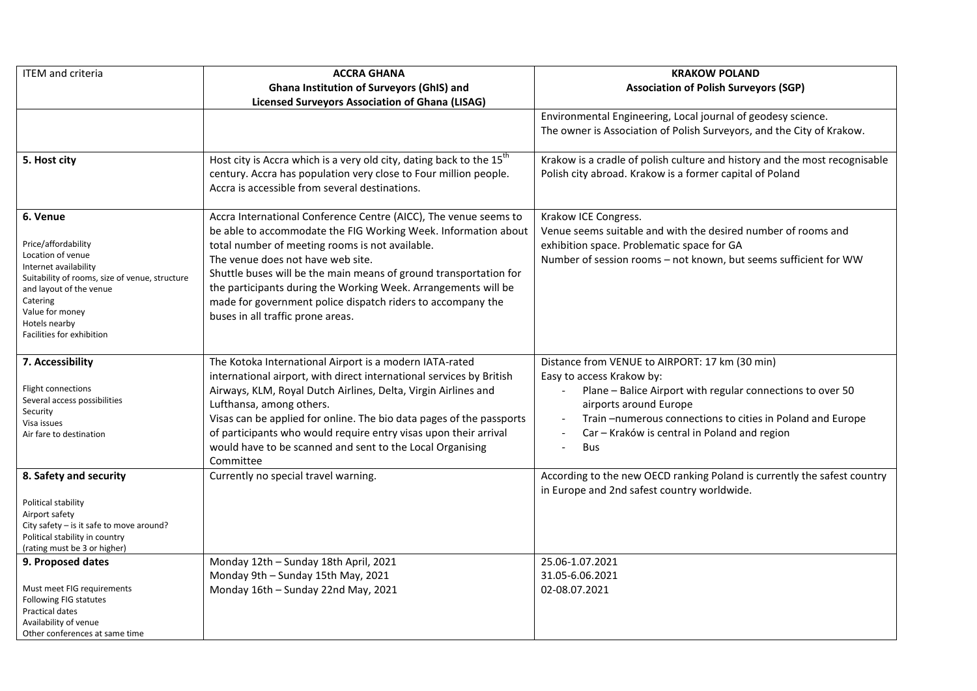| <b>ITEM</b> and criteria                                                                                                                                                                                                                | <b>ACCRA GHANA</b>                                                                                                                                                                                                                                                                                                                                                                                                                                                    | <b>KRAKOW POLAND</b>                                                                                                                                                                                                                                                                                                       |
|-----------------------------------------------------------------------------------------------------------------------------------------------------------------------------------------------------------------------------------------|-----------------------------------------------------------------------------------------------------------------------------------------------------------------------------------------------------------------------------------------------------------------------------------------------------------------------------------------------------------------------------------------------------------------------------------------------------------------------|----------------------------------------------------------------------------------------------------------------------------------------------------------------------------------------------------------------------------------------------------------------------------------------------------------------------------|
|                                                                                                                                                                                                                                         | <b>Ghana Institution of Surveyors (GhIS) and</b>                                                                                                                                                                                                                                                                                                                                                                                                                      | <b>Association of Polish Surveyors (SGP)</b>                                                                                                                                                                                                                                                                               |
|                                                                                                                                                                                                                                         | <b>Licensed Surveyors Association of Ghana (LISAG)</b>                                                                                                                                                                                                                                                                                                                                                                                                                |                                                                                                                                                                                                                                                                                                                            |
|                                                                                                                                                                                                                                         |                                                                                                                                                                                                                                                                                                                                                                                                                                                                       | Environmental Engineering, Local journal of geodesy science.<br>The owner is Association of Polish Surveyors, and the City of Krakow.                                                                                                                                                                                      |
| 5. Host city                                                                                                                                                                                                                            | Host city is Accra which is a very old city, dating back to the 15 <sup>th</sup><br>century. Accra has population very close to Four million people.<br>Accra is accessible from several destinations.                                                                                                                                                                                                                                                                | Krakow is a cradle of polish culture and history and the most recognisable<br>Polish city abroad. Krakow is a former capital of Poland                                                                                                                                                                                     |
| 6. Venue<br>Price/affordability<br>Location of venue<br>Internet availability<br>Suitability of rooms, size of venue, structure<br>and layout of the venue<br>Catering<br>Value for money<br>Hotels nearby<br>Facilities for exhibition | Accra International Conference Centre (AICC), The venue seems to<br>be able to accommodate the FIG Working Week. Information about<br>total number of meeting rooms is not available.<br>The venue does not have web site.<br>Shuttle buses will be the main means of ground transportation for<br>the participants during the Working Week. Arrangements will be<br>made for government police dispatch riders to accompany the<br>buses in all traffic prone areas. | Krakow ICE Congress.<br>Venue seems suitable and with the desired number of rooms and<br>exhibition space. Problematic space for GA<br>Number of session rooms - not known, but seems sufficient for WW                                                                                                                    |
| 7. Accessibility<br>Flight connections<br>Several access possibilities<br>Security<br>Visa issues<br>Air fare to destination                                                                                                            | The Kotoka International Airport is a modern IATA-rated<br>international airport, with direct international services by British<br>Airways, KLM, Royal Dutch Airlines, Delta, Virgin Airlines and<br>Lufthansa, among others.<br>Visas can be applied for online. The bio data pages of the passports<br>of participants who would require entry visas upon their arrival<br>would have to be scanned and sent to the Local Organising<br>Committee                   | Distance from VENUE to AIRPORT: 17 km (30 min)<br>Easy to access Krakow by:<br>Plane - Balice Airport with regular connections to over 50<br>airports around Europe<br>Train-numerous connections to cities in Poland and Europe<br>$\overline{\phantom{a}}$<br>Car - Kraków is central in Poland and region<br><b>Bus</b> |
| 8. Safety and security<br>Political stability<br>Airport safety<br>City safety - is it safe to move around?<br>Political stability in country<br>(rating must be 3 or higher)                                                           | Currently no special travel warning.                                                                                                                                                                                                                                                                                                                                                                                                                                  | According to the new OECD ranking Poland is currently the safest country<br>in Europe and 2nd safest country worldwide.                                                                                                                                                                                                    |
| 9. Proposed dates<br>Must meet FIG requirements<br>Following FIG statutes<br>Practical dates<br>Availability of venue<br>Other conferences at same time                                                                                 | Monday 12th - Sunday 18th April, 2021<br>Monday 9th - Sunday 15th May, 2021<br>Monday 16th - Sunday 22nd May, 2021                                                                                                                                                                                                                                                                                                                                                    | 25.06-1.07.2021<br>31.05-6.06.2021<br>02-08.07.2021                                                                                                                                                                                                                                                                        |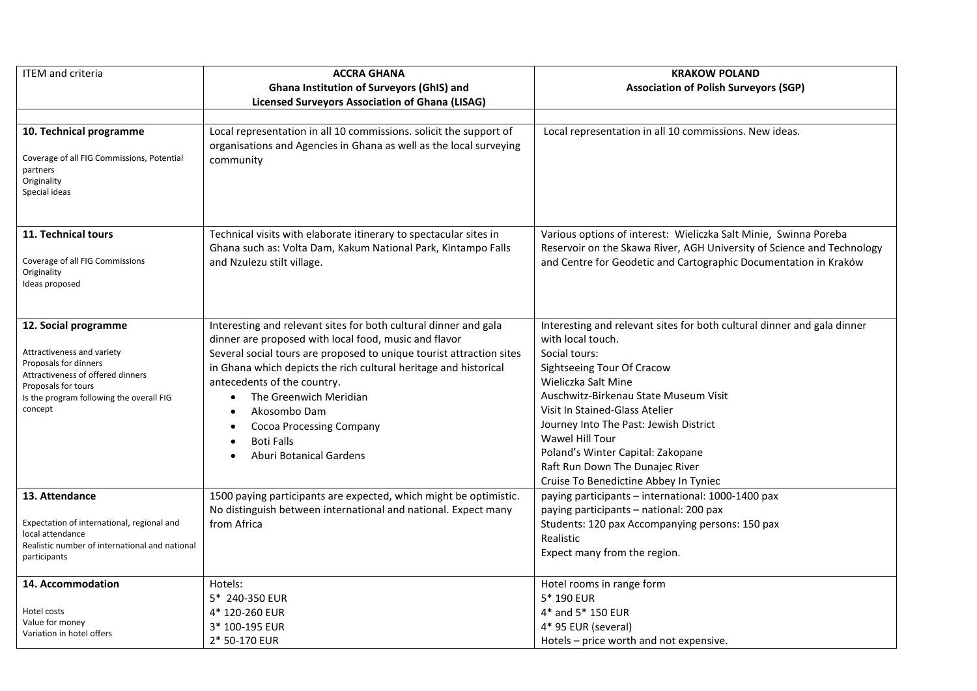| <b>ITEM</b> and criteria                                                                                                                                                                       | <b>ACCRA GHANA</b>                                                                                                                                                                                                                                                                                                                                                                                                                                                 | <b>KRAKOW POLAND</b>                                                                                                                                                                                                                                                                                                                                                                                                        |
|------------------------------------------------------------------------------------------------------------------------------------------------------------------------------------------------|--------------------------------------------------------------------------------------------------------------------------------------------------------------------------------------------------------------------------------------------------------------------------------------------------------------------------------------------------------------------------------------------------------------------------------------------------------------------|-----------------------------------------------------------------------------------------------------------------------------------------------------------------------------------------------------------------------------------------------------------------------------------------------------------------------------------------------------------------------------------------------------------------------------|
|                                                                                                                                                                                                | <b>Ghana Institution of Surveyors (GhIS) and</b>                                                                                                                                                                                                                                                                                                                                                                                                                   | <b>Association of Polish Surveyors (SGP)</b>                                                                                                                                                                                                                                                                                                                                                                                |
|                                                                                                                                                                                                | <b>Licensed Surveyors Association of Ghana (LISAG)</b>                                                                                                                                                                                                                                                                                                                                                                                                             |                                                                                                                                                                                                                                                                                                                                                                                                                             |
|                                                                                                                                                                                                |                                                                                                                                                                                                                                                                                                                                                                                                                                                                    |                                                                                                                                                                                                                                                                                                                                                                                                                             |
| 10. Technical programme<br>Coverage of all FIG Commissions, Potential<br>partners<br>Originality<br>Special ideas                                                                              | Local representation in all 10 commissions. solicit the support of<br>organisations and Agencies in Ghana as well as the local surveying<br>community                                                                                                                                                                                                                                                                                                              | Local representation in all 10 commissions. New ideas.                                                                                                                                                                                                                                                                                                                                                                      |
| 11. Technical tours<br>Coverage of all FIG Commissions<br>Originality<br>Ideas proposed                                                                                                        | Technical visits with elaborate itinerary to spectacular sites in<br>Ghana such as: Volta Dam, Kakum National Park, Kintampo Falls<br>and Nzulezu stilt village.                                                                                                                                                                                                                                                                                                   | Various options of interest: Wieliczka Salt Minie, Swinna Poreba<br>Reservoir on the Skawa River, AGH University of Science and Technology<br>and Centre for Geodetic and Cartographic Documentation in Kraków                                                                                                                                                                                                              |
| 12. Social programme<br>Attractiveness and variety<br>Proposals for dinners<br>Attractiveness of offered dinners<br>Proposals for tours<br>Is the program following the overall FIG<br>concept | Interesting and relevant sites for both cultural dinner and gala<br>dinner are proposed with local food, music and flavor<br>Several social tours are proposed to unique tourist attraction sites<br>in Ghana which depicts the rich cultural heritage and historical<br>antecedents of the country.<br>The Greenwich Meridian<br>$\bullet$<br>Akosombo Dam<br>$\bullet$<br><b>Cocoa Processing Company</b><br><b>Boti Falls</b><br><b>Aburi Botanical Gardens</b> | Interesting and relevant sites for both cultural dinner and gala dinner<br>with local touch.<br>Social tours:<br>Sightseeing Tour Of Cracow<br>Wieliczka Salt Mine<br>Auschwitz-Birkenau State Museum Visit<br>Visit In Stained-Glass Atelier<br>Journey Into The Past: Jewish District<br>Wawel Hill Tour<br>Poland's Winter Capital: Zakopane<br>Raft Run Down The Dunajec River<br>Cruise To Benedictine Abbey In Tyniec |
| 13. Attendance<br>Expectation of international, regional and<br>local attendance<br>Realistic number of international and national<br>participants                                             | 1500 paying participants are expected, which might be optimistic.<br>No distinguish between international and national. Expect many<br>from Africa                                                                                                                                                                                                                                                                                                                 | paying participants - international: 1000-1400 pax<br>paying participants - national: 200 pax<br>Students: 120 pax Accompanying persons: 150 pax<br>Realistic<br>Expect many from the region.                                                                                                                                                                                                                               |
| 14. Accommodation<br>Hotel costs<br>Value for money<br>Variation in hotel offers                                                                                                               | Hotels:<br>5* 240-350 EUR<br>4* 120-260 EUR<br>3* 100-195 EUR<br>2* 50-170 EUR                                                                                                                                                                                                                                                                                                                                                                                     | Hotel rooms in range form<br>5* 190 EUR<br>4* and 5* 150 EUR<br>4* 95 EUR (several)<br>Hotels - price worth and not expensive.                                                                                                                                                                                                                                                                                              |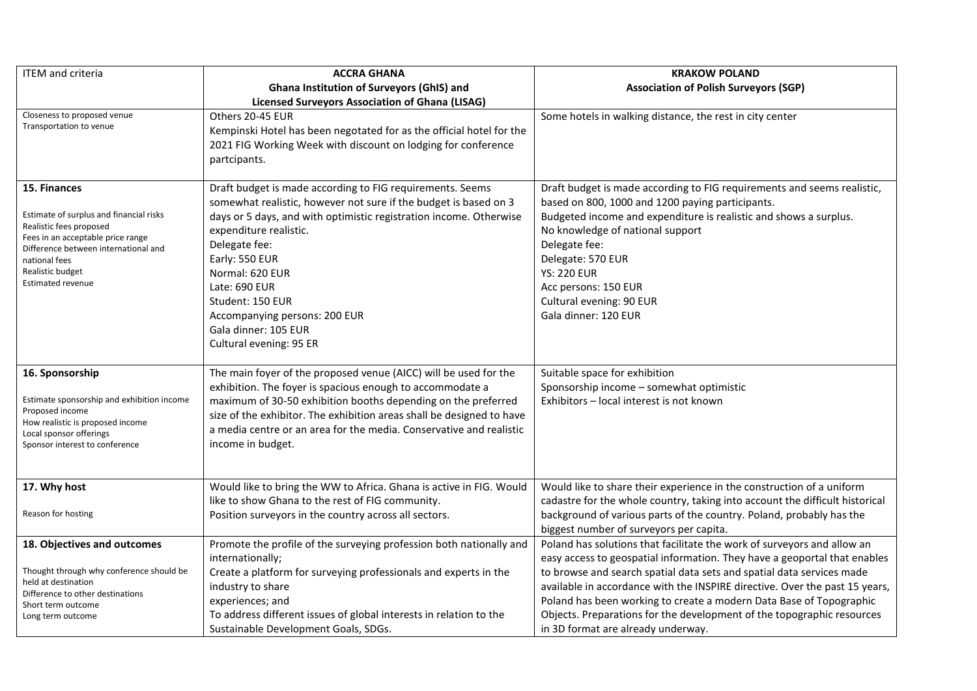| ITEM and criteria                                                                                                                                                                                                                | <b>ACCRA GHANA</b>                                                                                                                                                                                                                                                                                                                                                                                           | <b>KRAKOW POLAND</b>                                                                                                                                                                                                                                                                                                                                                                                                                                                                                |
|----------------------------------------------------------------------------------------------------------------------------------------------------------------------------------------------------------------------------------|--------------------------------------------------------------------------------------------------------------------------------------------------------------------------------------------------------------------------------------------------------------------------------------------------------------------------------------------------------------------------------------------------------------|-----------------------------------------------------------------------------------------------------------------------------------------------------------------------------------------------------------------------------------------------------------------------------------------------------------------------------------------------------------------------------------------------------------------------------------------------------------------------------------------------------|
|                                                                                                                                                                                                                                  | <b>Ghana Institution of Surveyors (GhIS) and</b>                                                                                                                                                                                                                                                                                                                                                             | <b>Association of Polish Surveyors (SGP)</b>                                                                                                                                                                                                                                                                                                                                                                                                                                                        |
|                                                                                                                                                                                                                                  | <b>Licensed Surveyors Association of Ghana (LISAG)</b>                                                                                                                                                                                                                                                                                                                                                       |                                                                                                                                                                                                                                                                                                                                                                                                                                                                                                     |
| Closeness to proposed venue<br>Transportation to venue                                                                                                                                                                           | Others 20-45 EUR<br>Kempinski Hotel has been negotated for as the official hotel for the<br>2021 FIG Working Week with discount on lodging for conference<br>partcipants.                                                                                                                                                                                                                                    | Some hotels in walking distance, the rest in city center                                                                                                                                                                                                                                                                                                                                                                                                                                            |
| 15. Finances<br>Estimate of surplus and financial risks<br>Realistic fees proposed<br>Fees in an acceptable price range<br>Difference between international and<br>national fees<br>Realistic budget<br><b>Estimated revenue</b> | Draft budget is made according to FIG requirements. Seems<br>somewhat realistic, however not sure if the budget is based on 3<br>days or 5 days, and with optimistic registration income. Otherwise<br>expenditure realistic.<br>Delegate fee:<br>Early: 550 EUR<br>Normal: 620 EUR<br>Late: 690 EUR<br>Student: 150 EUR<br>Accompanying persons: 200 EUR<br>Gala dinner: 105 EUR<br>Cultural evening: 95 ER | Draft budget is made according to FIG requirements and seems realistic,<br>based on 800, 1000 and 1200 paying participants.<br>Budgeted income and expenditure is realistic and shows a surplus.<br>No knowledge of national support<br>Delegate fee:<br>Delegate: 570 EUR<br><b>YS: 220 EUR</b><br>Acc persons: 150 EUR<br>Cultural evening: 90 EUR<br>Gala dinner: 120 EUR                                                                                                                        |
| 16. Sponsorship<br>Estimate sponsorship and exhibition income<br>Proposed income<br>How realistic is proposed income<br>Local sponsor offerings<br>Sponsor interest to conference                                                | The main foyer of the proposed venue (AICC) will be used for the<br>exhibition. The foyer is spacious enough to accommodate a<br>maximum of 30-50 exhibition booths depending on the preferred<br>size of the exhibitor. The exhibition areas shall be designed to have<br>a media centre or an area for the media. Conservative and realistic<br>income in budget.                                          | Suitable space for exhibition<br>Sponsorship income - somewhat optimistic<br>Exhibitors - local interest is not known                                                                                                                                                                                                                                                                                                                                                                               |
| 17. Why host<br>Reason for hosting                                                                                                                                                                                               | Would like to bring the WW to Africa. Ghana is active in FIG. Would<br>like to show Ghana to the rest of FIG community.<br>Position surveyors in the country across all sectors.                                                                                                                                                                                                                             | Would like to share their experience in the construction of a uniform<br>cadastre for the whole country, taking into account the difficult historical<br>background of various parts of the country. Poland, probably has the<br>biggest number of surveyors per capita.                                                                                                                                                                                                                            |
| 18. Objectives and outcomes<br>Thought through why conference should be<br>held at destination<br>Difference to other destinations<br>Short term outcome<br>Long term outcome                                                    | Promote the profile of the surveying profession both nationally and<br>internationally;<br>Create a platform for surveying professionals and experts in the<br>industry to share<br>experiences; and<br>To address different issues of global interests in relation to the<br>Sustainable Development Goals, SDGs.                                                                                           | Poland has solutions that facilitate the work of surveyors and allow an<br>easy access to geospatial information. They have a geoportal that enables<br>to browse and search spatial data sets and spatial data services made<br>available in accordance with the INSPIRE directive. Over the past 15 years,<br>Poland has been working to create a modern Data Base of Topographic<br>Objects. Preparations for the development of the topographic resources<br>in 3D format are already underway. |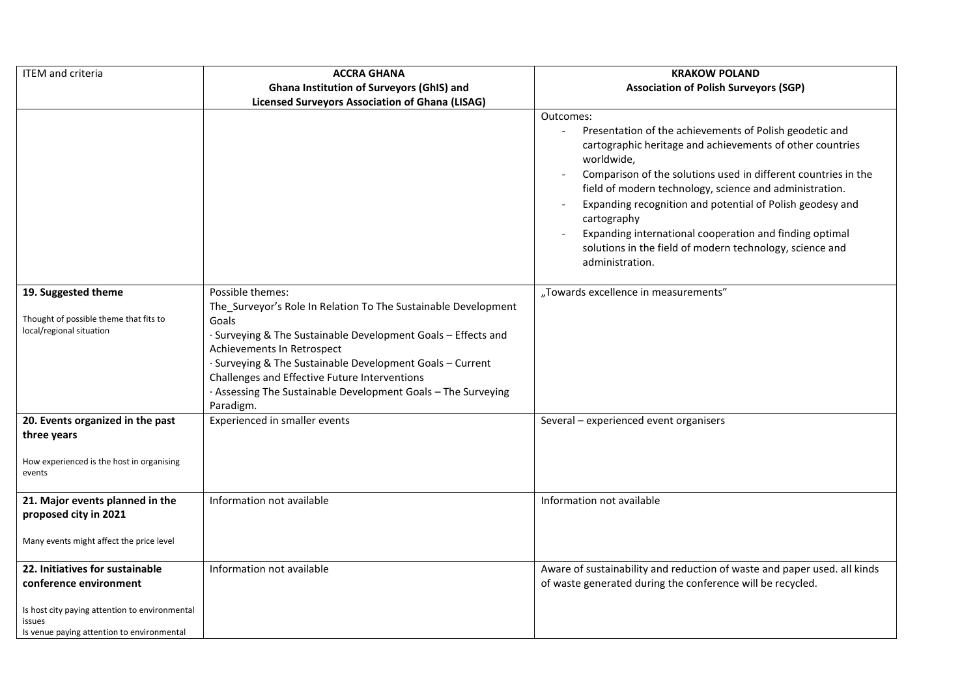| <b>ITEM</b> and criteria                                                                                                                                            | <b>ACCRA GHANA</b>                                                                                                                                                                                                                                                                                                                                                                   | <b>KRAKOW POLAND</b>                                                                                                                                                                                                                                                                                                                                                                                                                                                                                                 |
|---------------------------------------------------------------------------------------------------------------------------------------------------------------------|--------------------------------------------------------------------------------------------------------------------------------------------------------------------------------------------------------------------------------------------------------------------------------------------------------------------------------------------------------------------------------------|----------------------------------------------------------------------------------------------------------------------------------------------------------------------------------------------------------------------------------------------------------------------------------------------------------------------------------------------------------------------------------------------------------------------------------------------------------------------------------------------------------------------|
|                                                                                                                                                                     | <b>Ghana Institution of Surveyors (GhIS) and</b>                                                                                                                                                                                                                                                                                                                                     | <b>Association of Polish Surveyors (SGP)</b>                                                                                                                                                                                                                                                                                                                                                                                                                                                                         |
|                                                                                                                                                                     | <b>Licensed Surveyors Association of Ghana (LISAG)</b>                                                                                                                                                                                                                                                                                                                               |                                                                                                                                                                                                                                                                                                                                                                                                                                                                                                                      |
|                                                                                                                                                                     |                                                                                                                                                                                                                                                                                                                                                                                      | Outcomes:<br>Presentation of the achievements of Polish geodetic and<br>cartographic heritage and achievements of other countries<br>worldwide,<br>Comparison of the solutions used in different countries in the<br>field of modern technology, science and administration.<br>Expanding recognition and potential of Polish geodesy and<br>cartography<br>Expanding international cooperation and finding optimal<br>$\overline{a}$<br>solutions in the field of modern technology, science and<br>administration. |
| 19. Suggested theme<br>Thought of possible theme that fits to<br>local/regional situation                                                                           | Possible themes:<br>The_Surveyor's Role In Relation To The Sustainable Development<br>Goals<br>Surveying & The Sustainable Development Goals - Effects and<br>Achievements In Retrospect<br>· Surveying & The Sustainable Development Goals - Current<br>Challenges and Effective Future Interventions<br>· Assessing The Sustainable Development Goals - The Surveying<br>Paradigm. | "Towards excellence in measurements"                                                                                                                                                                                                                                                                                                                                                                                                                                                                                 |
| 20. Events organized in the past<br>three years                                                                                                                     | Experienced in smaller events                                                                                                                                                                                                                                                                                                                                                        | Several - experienced event organisers                                                                                                                                                                                                                                                                                                                                                                                                                                                                               |
| How experienced is the host in organising<br>events                                                                                                                 |                                                                                                                                                                                                                                                                                                                                                                                      |                                                                                                                                                                                                                                                                                                                                                                                                                                                                                                                      |
| 21. Major events planned in the<br>proposed city in 2021<br>Many events might affect the price level                                                                | Information not available                                                                                                                                                                                                                                                                                                                                                            | Information not available                                                                                                                                                                                                                                                                                                                                                                                                                                                                                            |
| 22. Initiatives for sustainable<br>conference environment<br>Is host city paying attention to environmental<br>issues<br>Is venue paying attention to environmental | Information not available                                                                                                                                                                                                                                                                                                                                                            | Aware of sustainability and reduction of waste and paper used. all kinds<br>of waste generated during the conference will be recycled.                                                                                                                                                                                                                                                                                                                                                                               |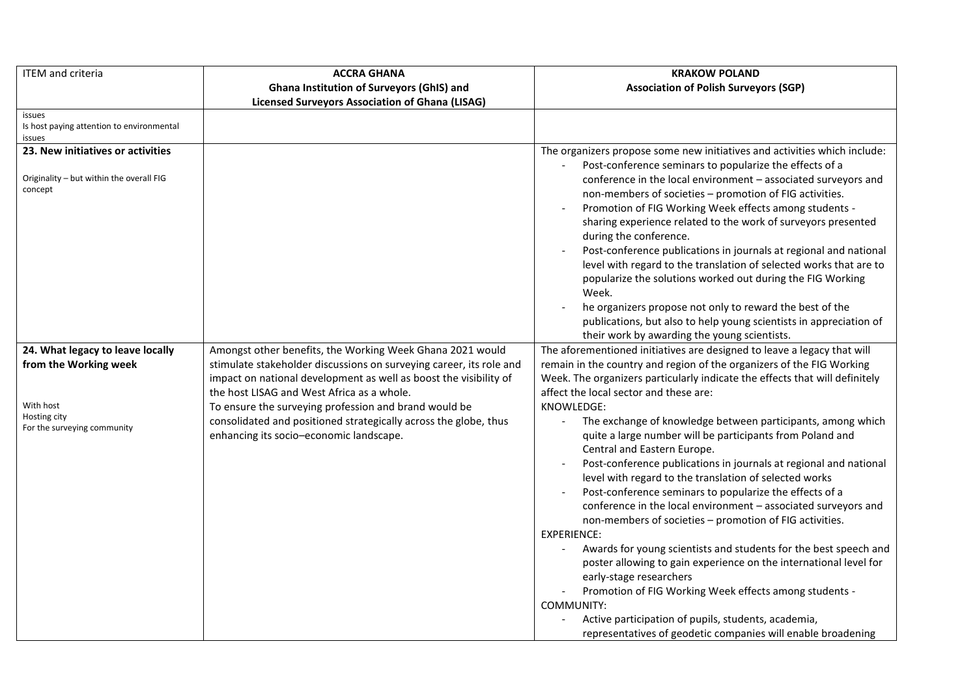| <b>ITEM</b> and criteria                                                                                              | <b>ACCRA GHANA</b>                                                                                                                                                                                                                                                                                                                                                                                                          | <b>KRAKOW POLAND</b>                                                                                                                                                                                                                                                                                                                                                                                                                                                                                                                                                                                                                                                                                                                                                                                                                                                                                                                                                                            |
|-----------------------------------------------------------------------------------------------------------------------|-----------------------------------------------------------------------------------------------------------------------------------------------------------------------------------------------------------------------------------------------------------------------------------------------------------------------------------------------------------------------------------------------------------------------------|-------------------------------------------------------------------------------------------------------------------------------------------------------------------------------------------------------------------------------------------------------------------------------------------------------------------------------------------------------------------------------------------------------------------------------------------------------------------------------------------------------------------------------------------------------------------------------------------------------------------------------------------------------------------------------------------------------------------------------------------------------------------------------------------------------------------------------------------------------------------------------------------------------------------------------------------------------------------------------------------------|
|                                                                                                                       | <b>Ghana Institution of Surveyors (GhIS) and</b>                                                                                                                                                                                                                                                                                                                                                                            | <b>Association of Polish Surveyors (SGP)</b>                                                                                                                                                                                                                                                                                                                                                                                                                                                                                                                                                                                                                                                                                                                                                                                                                                                                                                                                                    |
|                                                                                                                       | <b>Licensed Surveyors Association of Ghana (LISAG)</b>                                                                                                                                                                                                                                                                                                                                                                      |                                                                                                                                                                                                                                                                                                                                                                                                                                                                                                                                                                                                                                                                                                                                                                                                                                                                                                                                                                                                 |
| issues<br>Is host paying attention to environmental<br>issues                                                         |                                                                                                                                                                                                                                                                                                                                                                                                                             |                                                                                                                                                                                                                                                                                                                                                                                                                                                                                                                                                                                                                                                                                                                                                                                                                                                                                                                                                                                                 |
| 23. New initiatives or activities<br>Originality - but within the overall FIG<br>concept                              |                                                                                                                                                                                                                                                                                                                                                                                                                             | The organizers propose some new initiatives and activities which include:<br>Post-conference seminars to popularize the effects of a<br>conference in the local environment - associated surveyors and<br>non-members of societies - promotion of FIG activities.<br>Promotion of FIG Working Week effects among students -<br>sharing experience related to the work of surveyors presented<br>during the conference.<br>Post-conference publications in journals at regional and national<br>level with regard to the translation of selected works that are to<br>popularize the solutions worked out during the FIG Working<br>Week.<br>he organizers propose not only to reward the best of the<br>$\overline{\phantom{a}}$<br>publications, but also to help young scientists in appreciation of<br>their work by awarding the young scientists.                                                                                                                                          |
| 24. What legacy to leave locally<br>from the Working week<br>With host<br>Hosting city<br>For the surveying community | Amongst other benefits, the Working Week Ghana 2021 would<br>stimulate stakeholder discussions on surveying career, its role and<br>impact on national development as well as boost the visibility of<br>the host LISAG and West Africa as a whole.<br>To ensure the surveying profession and brand would be<br>consolidated and positioned strategically across the globe, thus<br>enhancing its socio-economic landscape. | The aforementioned initiatives are designed to leave a legacy that will<br>remain in the country and region of the organizers of the FIG Working<br>Week. The organizers particularly indicate the effects that will definitely<br>affect the local sector and these are:<br>KNOWLEDGE:<br>The exchange of knowledge between participants, among which<br>quite a large number will be participants from Poland and<br>Central and Eastern Europe.<br>Post-conference publications in journals at regional and national<br>level with regard to the translation of selected works<br>Post-conference seminars to popularize the effects of a<br>$\overline{\phantom{a}}$<br>conference in the local environment - associated surveyors and<br>non-members of societies - promotion of FIG activities.<br><b>EXPERIENCE:</b><br>Awards for young scientists and students for the best speech and<br>poster allowing to gain experience on the international level for<br>early-stage researchers |
|                                                                                                                       |                                                                                                                                                                                                                                                                                                                                                                                                                             | Promotion of FIG Working Week effects among students -<br>COMMUNITY:<br>Active participation of pupils, students, academia,<br>representatives of geodetic companies will enable broadening                                                                                                                                                                                                                                                                                                                                                                                                                                                                                                                                                                                                                                                                                                                                                                                                     |